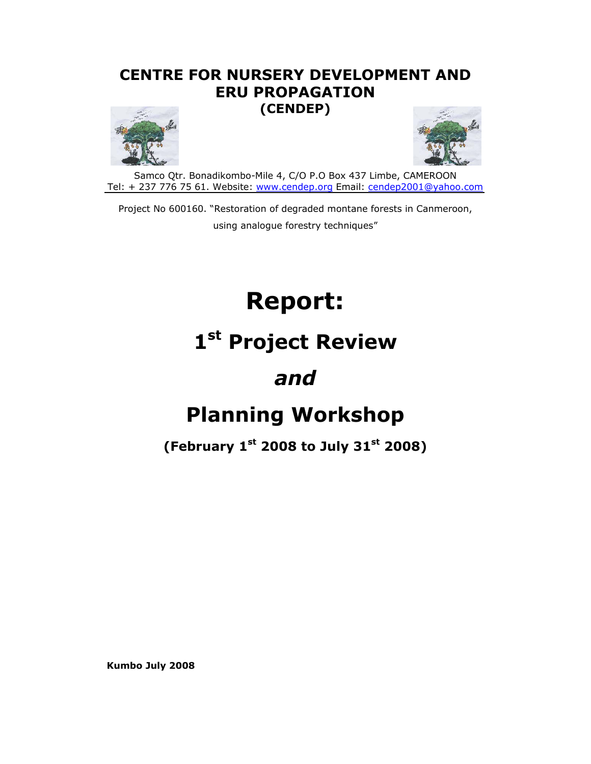## **CENTRE FOR NURSERY DEVELOPMENT AND ERU PROPAGATION (CENDEP)**





Samco Qtr. Bonadikombo-Mile 4, C/O P.O Box 437 Limbe, CAMEROON Tel: + 237 776 75 61. Website: www.cendep.org Email: cendep2001@yahoo.com

Project No 600160. "Restoration of degraded montane forests in Canmeroon, using analogue forestry techniques"

# **Report:**

# **1st Project Review**

## *and*

# **Planning Workshop**

## **(February 1st 2008 to July 31st 2008)**

**Kumbo July 2008**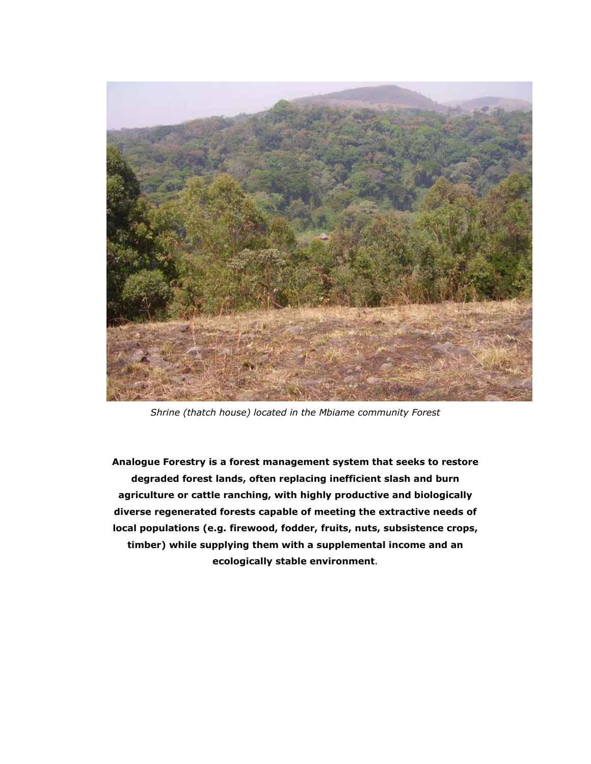

*Shrine (thatch house) located in the Mbiame community Forest* 

**Analogue Forestry is a forest management system that seeks to restore degraded forest lands, often replacing inefficient slash and burn agriculture or cattle ranching, with highly productive and biologically diverse regenerated forests capable of meeting the extractive needs of local populations (e.g. firewood, fodder, fruits, nuts, subsistence crops, timber) while supplying them with a supplemental income and an ecologically stable environment**.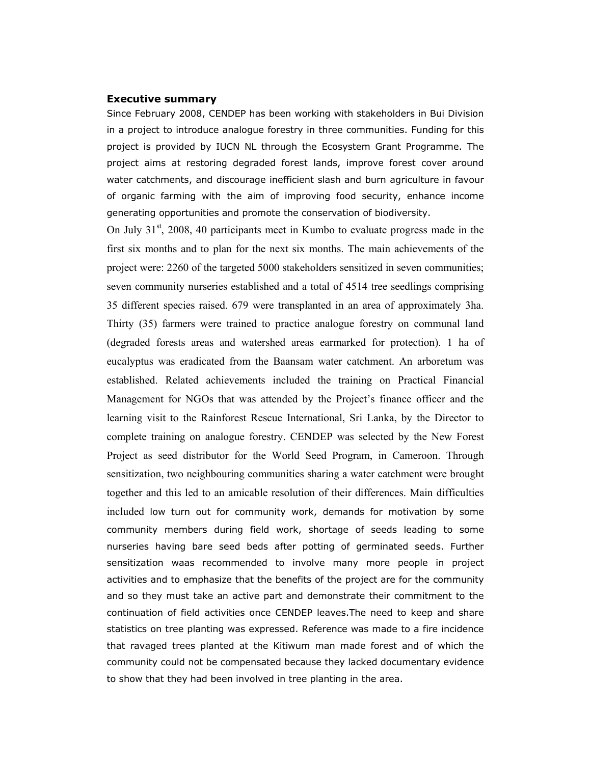#### **Executive summary**

Since February 2008, CENDEP has been working with stakeholders in Bui Division in a project to introduce analogue forestry in three communities. Funding for this project is provided by IUCN NL through the Ecosystem Grant Programme. The project aims at restoring degraded forest lands, improve forest cover around water catchments, and discourage inefficient slash and burn agriculture in favour of organic farming with the aim of improving food security, enhance income generating opportunities and promote the conservation of biodiversity.

On July  $31<sup>st</sup>$ , 2008, 40 participants meet in Kumbo to evaluate progress made in the first six months and to plan for the next six months. The main achievements of the project were: 2260 of the targeted 5000 stakeholders sensitized in seven communities; seven community nurseries established and a total of 4514 tree seedlings comprising 35 different species raised. 679 were transplanted in an area of approximately 3ha. Thirty (35) farmers were trained to practice analogue forestry on communal land (degraded forests areas and watershed areas earmarked for protection). 1 ha of eucalyptus was eradicated from the Baansam water catchment. An arboretum was established. Related achievements included the training on Practical Financial Management for NGOs that was attended by the Project's finance officer and the learning visit to the Rainforest Rescue International, Sri Lanka, by the Director to complete training on analogue forestry. CENDEP was selected by the New Forest Project as seed distributor for the World Seed Program, in Cameroon. Through sensitization, two neighbouring communities sharing a water catchment were brought together and this led to an amicable resolution of their differences. Main difficulties included low turn out for community work, demands for motivation by some community members during field work, shortage of seeds leading to some nurseries having bare seed beds after potting of germinated seeds. Further sensitization waas recommended to involve many more people in project activities and to emphasize that the benefits of the project are for the community and so they must take an active part and demonstrate their commitment to the continuation of field activities once CENDEP leaves.The need to keep and share statistics on tree planting was expressed. Reference was made to a fire incidence that ravaged trees planted at the Kitiwum man made forest and of which the community could not be compensated because they lacked documentary evidence to show that they had been involved in tree planting in the area.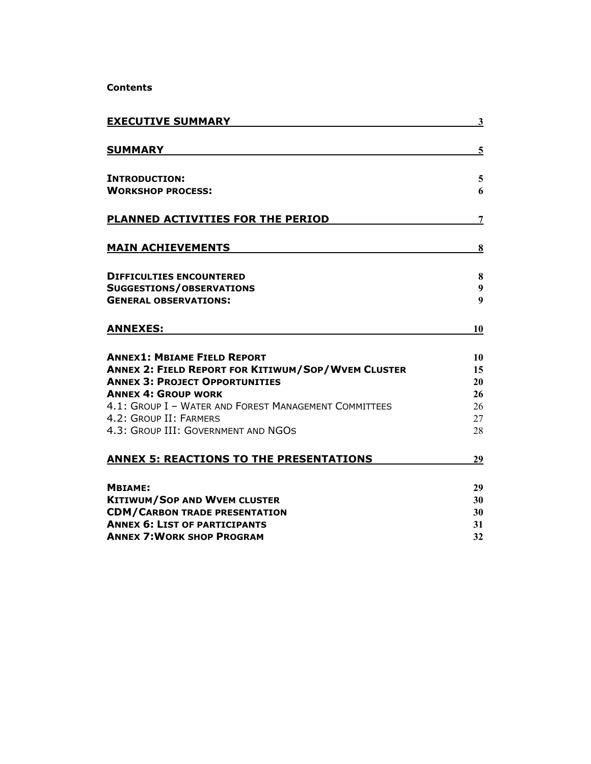**Contents**

| <b>EXECUTIVE SUMMARY</b>                                        | $\overline{\mathbf{3}}$ |
|-----------------------------------------------------------------|-------------------------|
| <b>SUMMARY</b>                                                  | 5                       |
| <b>INTRODUCTION:</b>                                            | 5                       |
| <b>WORKSHOP PROCESS:</b>                                        | 6                       |
| PLANNED ACTIVITIES FOR THE PERIOD                               | $\overline{7}$          |
| <b>MAIN ACHIEVEMENTS</b>                                        | 8                       |
| <b>DIFFICULTIES ENCOUNTERED</b>                                 | 8                       |
| <b>SUGGESTIONS/OBSERVATIONS</b><br><b>GENERAL OBSERVATIONS:</b> | 9<br>$\boldsymbol{9}$   |
|                                                                 |                         |
| <b>ANNEXES:</b>                                                 | 10                      |
| <b>ANNEX1: MBIAME FIELD REPORT</b>                              | 10                      |
| <b>ANNEX 2: FIELD REPORT FOR KITIWUM/SOP/WVEM CLUSTER</b>       | 15                      |
| <b>ANNEX 3: PROJECT OPPORTUNITIES</b>                           | 20                      |
| <b>ANNEX 4: GROUP WORK</b>                                      | 26                      |
| 4.1: GROUP I - WATER AND FOREST MANAGEMENT COMMITTEES           | 26                      |
| 4.2: GROUP II: FARMERS<br>4.3: GROUP III: GOVERNMENT AND NGOS   | 27                      |
|                                                                 | 28                      |
| <b>ANNEX 5: REACTIONS TO THE PRESENTATIONS</b>                  | 29                      |
| <b>MBIAME:</b>                                                  | 29                      |
| <b>KITIWUM/SOP AND WVEM CLUSTER</b>                             | 30                      |
| <b>CDM/CARBON TRADE PRESENTATION</b>                            | 30                      |
| <b>ANNEX 6: LIST OF PARTICIPANTS</b>                            | 31                      |
| <b>ANNEX 7: WORK SHOP PROGRAM</b>                               | 32                      |
|                                                                 |                         |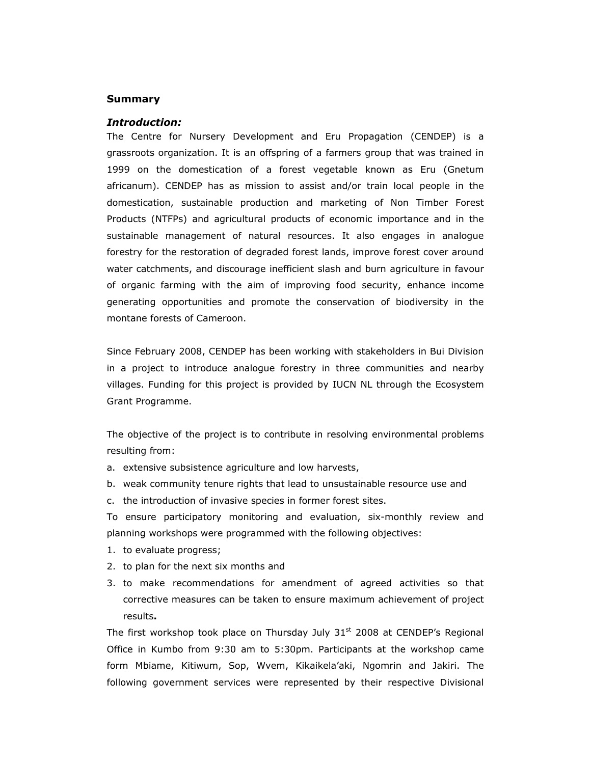#### **Summary**

#### *Introduction:*

The Centre for Nursery Development and Eru Propagation (CENDEP) is a grassroots organization. It is an offspring of a farmers group that was trained in 1999 on the domestication of a forest vegetable known as Eru (Gnetum africanum). CENDEP has as mission to assist and/or train local people in the domestication, sustainable production and marketing of Non Timber Forest Products (NTFPs) and agricultural products of economic importance and in the sustainable management of natural resources. It also engages in analogue forestry for the restoration of degraded forest lands, improve forest cover around water catchments, and discourage inefficient slash and burn agriculture in favour of organic farming with the aim of improving food security, enhance income generating opportunities and promote the conservation of biodiversity in the montane forests of Cameroon.

Since February 2008, CENDEP has been working with stakeholders in Bui Division in a project to introduce analogue forestry in three communities and nearby villages. Funding for this project is provided by IUCN NL through the Ecosystem Grant Programme.

The objective of the project is to contribute in resolving environmental problems resulting from:

- a. extensive subsistence agriculture and low harvests,
- b. weak community tenure rights that lead to unsustainable resource use and
- c. the introduction of invasive species in former forest sites.

To ensure participatory monitoring and evaluation, six-monthly review and planning workshops were programmed with the following objectives:

- 1. to evaluate progress;
- 2. to plan for the next six months and
- 3. to make recommendations for amendment of agreed activities so that corrective measures can be taken to ensure maximum achievement of project results**.**

The first workshop took place on Thursday July 31<sup>st</sup> 2008 at CENDEP's Regional Office in Kumbo from 9:30 am to 5:30pm. Participants at the workshop came form Mbiame, Kitiwum, Sop, Wvem, Kikaikela'aki, Ngomrin and Jakiri. The following government services were represented by their respective Divisional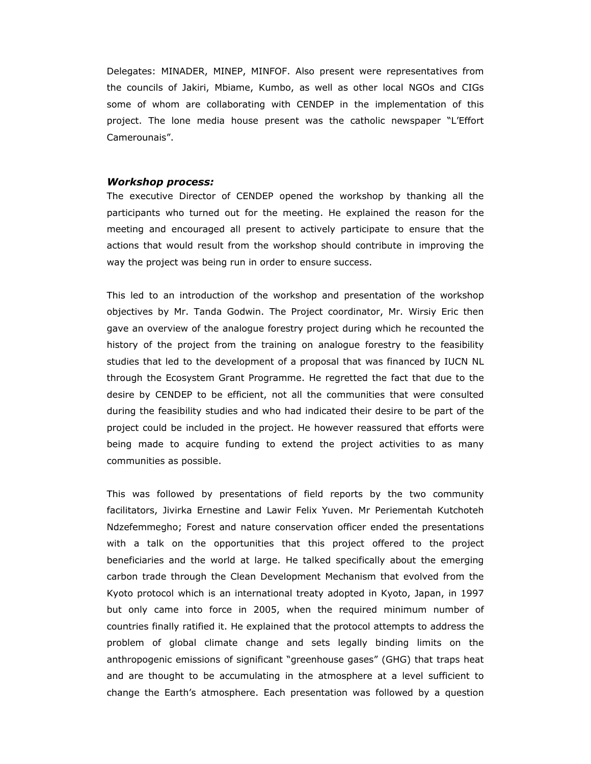Delegates: MINADER, MINEP, MINFOF. Also present were representatives from the councils of Jakiri, Mbiame, Kumbo, as well as other local NGOs and CIGs some of whom are collaborating with CENDEP in the implementation of this project. The lone media house present was the catholic newspaper "L'Effort Camerounais".

#### *Workshop process:*

The executive Director of CENDEP opened the workshop by thanking all the participants who turned out for the meeting. He explained the reason for the meeting and encouraged all present to actively participate to ensure that the actions that would result from the workshop should contribute in improving the way the project was being run in order to ensure success.

This led to an introduction of the workshop and presentation of the workshop objectives by Mr. Tanda Godwin. The Project coordinator, Mr. Wirsiy Eric then gave an overview of the analogue forestry project during which he recounted the history of the project from the training on analogue forestry to the feasibility studies that led to the development of a proposal that was financed by IUCN NL through the Ecosystem Grant Programme. He regretted the fact that due to the desire by CENDEP to be efficient, not all the communities that were consulted during the feasibility studies and who had indicated their desire to be part of the project could be included in the project. He however reassured that efforts were being made to acquire funding to extend the project activities to as many communities as possible.

This was followed by presentations of field reports by the two community facilitators, Jivirka Ernestine and Lawir Felix Yuven. Mr Periementah Kutchoteh Ndzefemmegho; Forest and nature conservation officer ended the presentations with a talk on the opportunities that this project offered to the project beneficiaries and the world at large. He talked specifically about the emerging carbon trade through the Clean Development Mechanism that evolved from the Kyoto protocol which is an international treaty adopted in Kyoto, Japan, in 1997 but only came into force in 2005, when the required minimum number of countries finally ratified it. He explained that the protocol attempts to address the problem of global climate change and sets legally binding limits on the anthropogenic emissions of significant "greenhouse gases" (GHG) that traps heat and are thought to be accumulating in the atmosphere at a level sufficient to change the Earth's atmosphere. Each presentation was followed by a question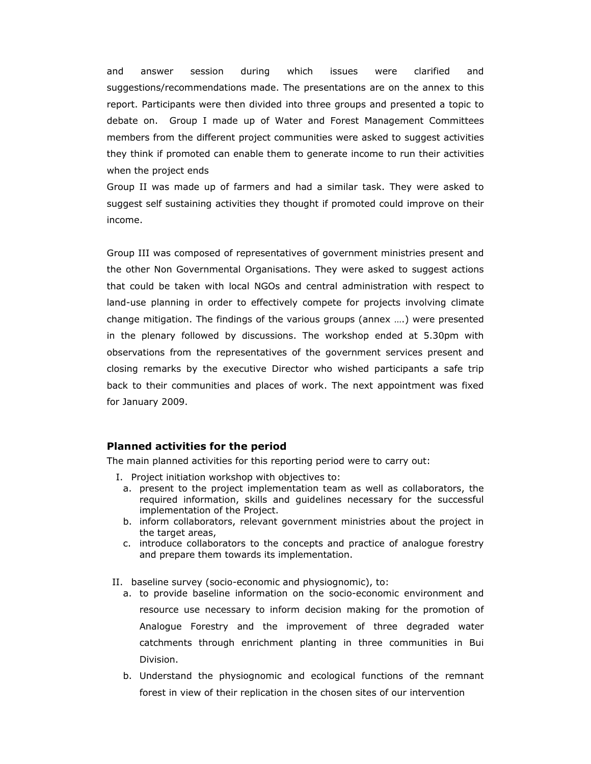and answer session during which issues were clarified and suggestions/recommendations made. The presentations are on the annex to this report. Participants were then divided into three groups and presented a topic to debate on. Group I made up of Water and Forest Management Committees members from the different project communities were asked to suggest activities they think if promoted can enable them to generate income to run their activities when the project ends

Group II was made up of farmers and had a similar task. They were asked to suggest self sustaining activities they thought if promoted could improve on their income.

Group III was composed of representatives of government ministries present and the other Non Governmental Organisations. They were asked to suggest actions that could be taken with local NGOs and central administration with respect to land-use planning in order to effectively compete for projects involving climate change mitigation. The findings of the various groups (annex ….) were presented in the plenary followed by discussions. The workshop ended at 5.30pm with observations from the representatives of the government services present and closing remarks by the executive Director who wished participants a safe trip back to their communities and places of work. The next appointment was fixed for January 2009.

#### **Planned activities for the period**

The main planned activities for this reporting period were to carry out:

- I. Project initiation workshop with objectives to:
	- a. present to the project implementation team as well as collaborators, the required information, skills and guidelines necessary for the successful implementation of the Project.
	- b. inform collaborators, relevant government ministries about the project in the target areas,
	- c. introduce collaborators to the concepts and practice of analogue forestry and prepare them towards its implementation.
- II. baseline survey (socio-economic and physiognomic), to:
	- a. to provide baseline information on the socio-economic environment and resource use necessary to inform decision making for the promotion of Analogue Forestry and the improvement of three degraded water catchments through enrichment planting in three communities in Bui Division.
	- b. Understand the physiognomic and ecological functions of the remnant forest in view of their replication in the chosen sites of our intervention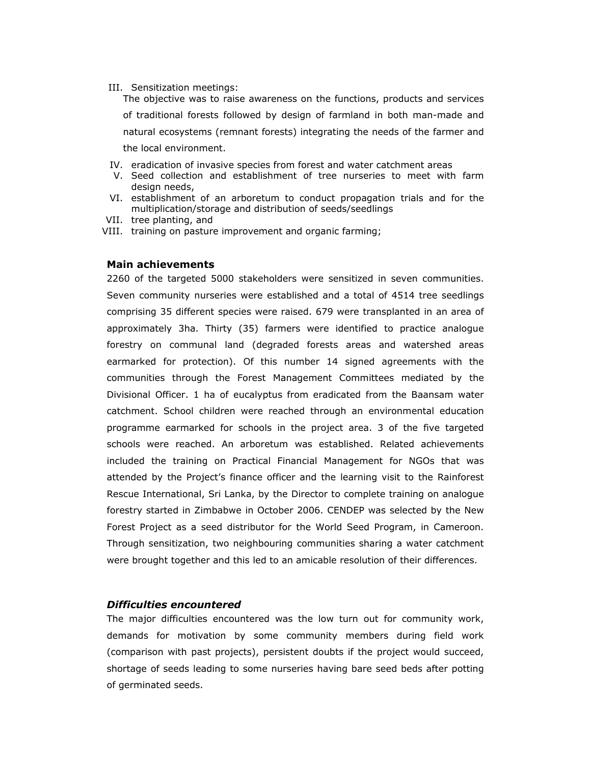III. Sensitization meetings:

The objective was to raise awareness on the functions, products and services of traditional forests followed by design of farmland in both man-made and natural ecosystems (remnant forests) integrating the needs of the farmer and the local environment.

- IV. eradication of invasive species from forest and water catchment areas
- V. Seed collection and establishment of tree nurseries to meet with farm design needs,
- VI. establishment of an arboretum to conduct propagation trials and for the multiplication/storage and distribution of seeds/seedlings
- VII. tree planting, and
- VIII. training on pasture improvement and organic farming;

#### **Main achievements**

2260 of the targeted 5000 stakeholders were sensitized in seven communities. Seven community nurseries were established and a total of 4514 tree seedlings comprising 35 different species were raised. 679 were transplanted in an area of approximately 3ha. Thirty (35) farmers were identified to practice analogue forestry on communal land (degraded forests areas and watershed areas earmarked for protection). Of this number 14 signed agreements with the communities through the Forest Management Committees mediated by the Divisional Officer. 1 ha of eucalyptus from eradicated from the Baansam water catchment. School children were reached through an environmental education programme earmarked for schools in the project area. 3 of the five targeted schools were reached. An arboretum was established. Related achievements included the training on Practical Financial Management for NGOs that was attended by the Project's finance officer and the learning visit to the Rainforest Rescue International, Sri Lanka, by the Director to complete training on analogue forestry started in Zimbabwe in October 2006. CENDEP was selected by the New Forest Project as a seed distributor for the World Seed Program, in Cameroon. Through sensitization, two neighbouring communities sharing a water catchment were brought together and this led to an amicable resolution of their differences.

#### *Difficulties encountered*

The major difficulties encountered was the low turn out for community work, demands for motivation by some community members during field work (comparison with past projects), persistent doubts if the project would succeed, shortage of seeds leading to some nurseries having bare seed beds after potting of germinated seeds.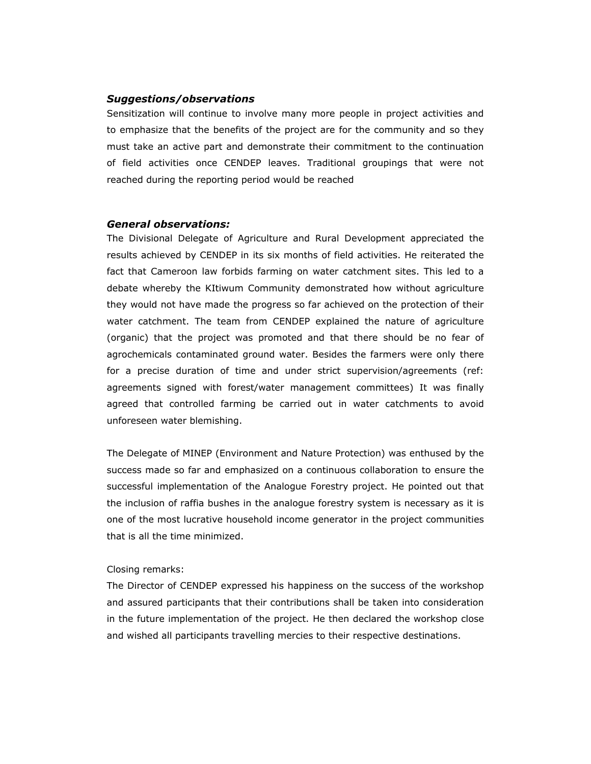#### *Suggestions/observations*

Sensitization will continue to involve many more people in project activities and to emphasize that the benefits of the project are for the community and so they must take an active part and demonstrate their commitment to the continuation of field activities once CENDEP leaves. Traditional groupings that were not reached during the reporting period would be reached

#### *General observations:*

The Divisional Delegate of Agriculture and Rural Development appreciated the results achieved by CENDEP in its six months of field activities. He reiterated the fact that Cameroon law forbids farming on water catchment sites. This led to a debate whereby the KItiwum Community demonstrated how without agriculture they would not have made the progress so far achieved on the protection of their water catchment. The team from CENDEP explained the nature of agriculture (organic) that the project was promoted and that there should be no fear of agrochemicals contaminated ground water. Besides the farmers were only there for a precise duration of time and under strict supervision/agreements (ref: agreements signed with forest/water management committees) It was finally agreed that controlled farming be carried out in water catchments to avoid unforeseen water blemishing.

The Delegate of MINEP (Environment and Nature Protection) was enthused by the success made so far and emphasized on a continuous collaboration to ensure the successful implementation of the Analogue Forestry project. He pointed out that the inclusion of raffia bushes in the analogue forestry system is necessary as it is one of the most lucrative household income generator in the project communities that is all the time minimized.

#### Closing remarks:

The Director of CENDEP expressed his happiness on the success of the workshop and assured participants that their contributions shall be taken into consideration in the future implementation of the project. He then declared the workshop close and wished all participants travelling mercies to their respective destinations.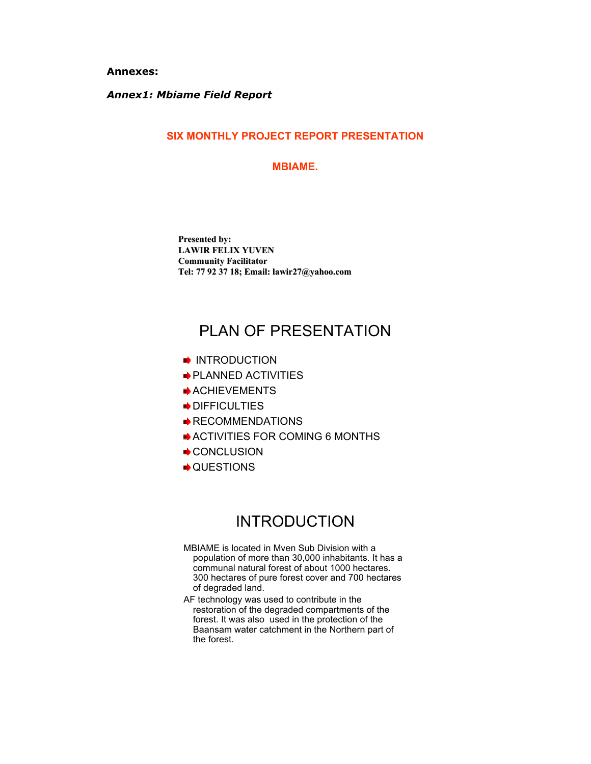**Annexes:** 

### *Annex1: Mbiame Field Report*

#### **SIX MONTHLY PROJECT REPORT PRESENTATION**

#### **MBIAME.**

**Presented by: LAWIR FELIX YUVEN LAWIR FELIX YUVEN Community Facilitator Community Facilitator Tel: 77 92 37 18; Email: lawir27@yahoo.com Tel: 77 92 37 18; Email: lawir27@yahoo.com**

## PLAN OF PRESENTATION

- **INTRODUCTION**
- **PLANNED ACTIVITIES**
- ACHIEVEMENTS
- DIFFICULTIES
- **RECOMMENDATIONS**
- ACTIVITIES FOR COMING 6 MONTHS
- CONCLUSION
- $\rightarrow$  **QUESTIONS**

## INTRODUCTION

- MBIAME is located in Mven Sub Division with a population of more than 30,000 inhabitants. It has a communal natural forest of about 1000 hectares. 300 hectares of pure forest cover and 700 hectares of degraded land.
- AF technology was used to contribute in the restoration of the degraded compartments of the forest. It was also used in the protection of the Baansam water catchment in the Northern part of the forest.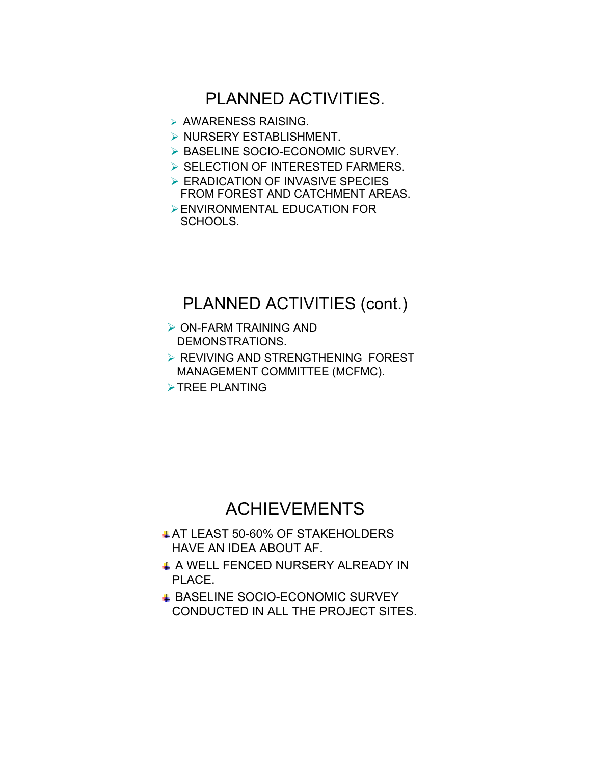## PLANNED ACTIVITIES.

- ¾ AWARENESS RAISING.
- ¾ NURSERY ESTABLISHMENT.
- ¾ BASELINE SOCIO-ECONOMIC SURVEY.
- ¾ SELECTION OF INTERESTED FARMERS.
- ¾ ERADICATION OF INVASIVE SPECIES FROM FOREST AND CATCHMENT AREAS.
- ¾ENVIRONMENTAL EDUCATION FOR SCHOOLS.

## PLANNED ACTIVITIES (cont.)

- $\triangleright$  ON-FARM TRAINING AND DEMONSTRATIONS.
- ¾ REVIVING AND STRENGTHENING FOREST MANAGEMENT COMMITTEE (MCFMC).
- $\triangleright$  TREE PLANTING

## ACHIEVEMENTS

- **AT LEAST 50-60% OF STAKEHOLDERS** HAVE AN IDEA ABOUT AF.
- + A WELL FENCED NURSERY ALREADY IN PLACE.
- **BASELINE SOCIO-ECONOMIC SURVEY** CONDUCTED IN ALL THE PROJECT SITES.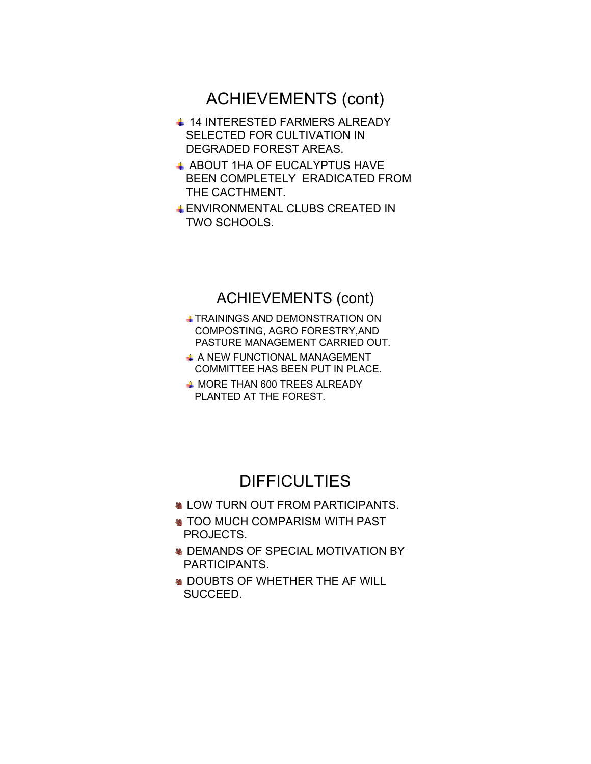## ACHIEVEMENTS (cont)

- **↓ 14 INTERESTED FARMERS ALREADY** SELECTED FOR CULTIVATION IN DEGRADED FOREST AREAS.
- **4 ABOUT 1HA OF EUCALYPTUS HAVE** BEEN COMPLETELY ERADICATED FROM THE CACTHMENT.
- ENVIRONMENTAL CLUBS CREATED IN TWO SCHOOLS.

## ACHIEVEMENTS (cont)

- TRAININGS AND DEMONSTRATION ON COMPOSTING, AGRO FORESTRY,AND PASTURE MANAGEMENT CARRIED OUT.
- **4 A NEW FUNCTIONAL MANAGEMENT** COMMITTEE HAS BEEN PUT IN PLACE.
- **4 MORE THAN 600 TREES ALREADY** PLANTED AT THE FOREST.

## **DIFFICULTIES**

- **& LOW TURN OUT FROM PARTICIPANTS.**
- **STOO MUCH COMPARISM WITH PAST** PROJECTS.
- **M** DEMANDS OF SPECIAL MOTIVATION BY PARTICIPANTS.
- **SOUBTS OF WHETHER THE AF WILL** SUCCEED.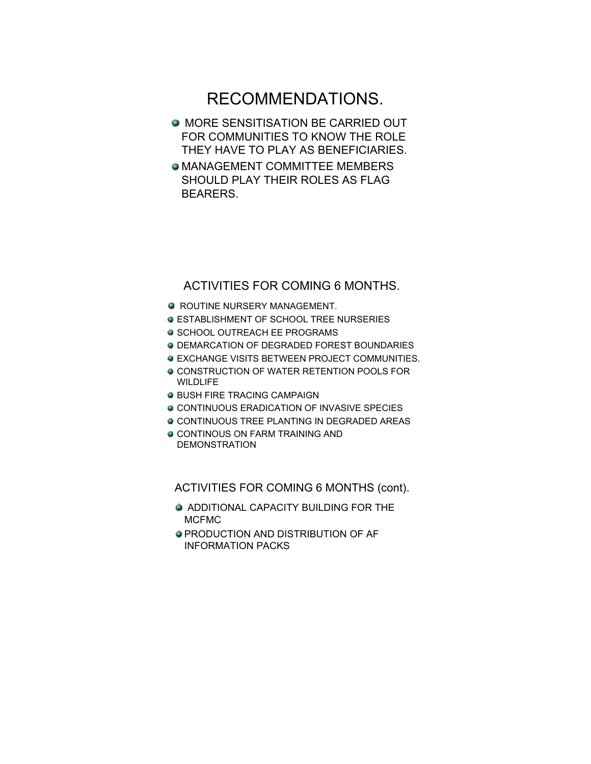## RECOMMENDATIONS.

- **O MORE SENSITISATION BE CARRIED OUT** FOR COMMUNITIES TO KNOW THE ROLE THEY HAVE TO PLAY AS BENEFICIARIES.
- MANAGEMENT COMMITTEE MEMBERS SHOULD PLAY THEIR ROLES AS FLAG BEARERS.

### ACTIVITIES FOR COMING 6 MONTHS.

- **ROUTINE NURSERY MANAGEMENT.**
- ESTABLISHMENT OF SCHOOL TREE NURSERIES
- **SCHOOL OUTREACH EE PROGRAMS**
- DEMARCATION OF DEGRADED FOREST BOUNDARIES
- **EXCHANGE VISITS BETWEEN PROJECT COMMUNITIES.**
- $\bullet$  **CONSTRUCTION OF WATER RETENTION POOLS FOR WILDLIFE**
- **O BUSH FIRE TRACING CAMPAIGN**
- $\circ$  **CONTINUOUS ERADICATION OF INVASIVE SPECIES**
- **CONTINUOUS TREE PLANTING IN DEGRADED AREAS**
- **CONTINOUS ON FARM TRAINING AND** DEMONSTRATION

ACTIVITIES FOR COMING 6 MONTHS (cont).

- **ADDITIONAL CAPACITY BUILDING FOR THE** MCFMC
- PRODUCTION AND DISTRIBUTION OF AF INFORMATION PACKS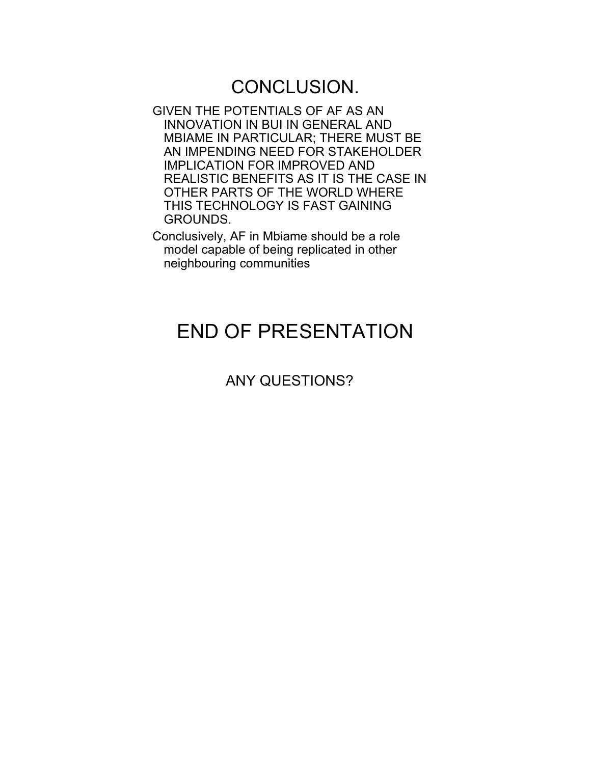## CONCLUSION.

- GIVEN THE POTENTIALS OF AF AS AN INNOVATION IN BUI IN GENERAL AND MBIAME IN PARTICULAR; THERE MUST BE AN IMPENDING NEED FOR STAKEHOLDER IMPLICATION FOR IMPROVED AND REALISTIC BENEFITS AS IT IS THE CASE IN OTHER PARTS OF THE WORLD WHERE THIS TECHNOLOGY IS FAST GAINING GROUNDS.
- Conclusively, AF in Mbiame should be a role model capable of being replicated in other neighbouring communities

## END OF PRESENTATION

## ANY QUESTIONS?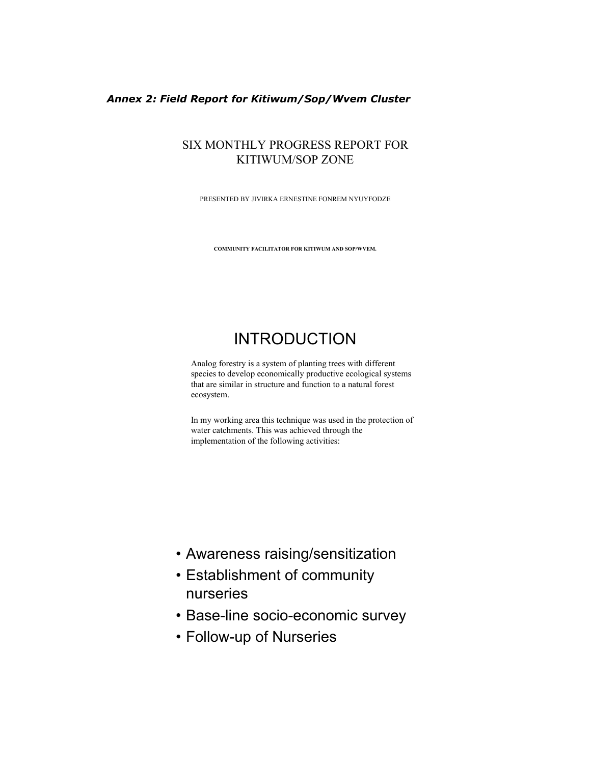#### *Annex 2: Field Report for Kitiwum/Sop/Wvem Cluster*

### SIX MONTHLY PROGRESS REPORT FOR KITIWUM/SOP ZONE

PRESENTED BY JIVIRKA ERNESTINE FONREM NYUYFODZE

**COMMUNITY FACILITATOR FOR KITIWUM AND SOP/WVEM.**

## INTRODUCTION

Analog forestry is a system of planting trees with different species to develop economically productive ecological systems that are similar in structure and function to a natural forest ecosystem.

In my working area this technique was used in the protection of water catchments. This was achieved through the implementation of the following activities:

- Awareness raising/sensitization
- Establishment of community nurseries
- Base-line socio-economic survey
- Follow-up of Nurseries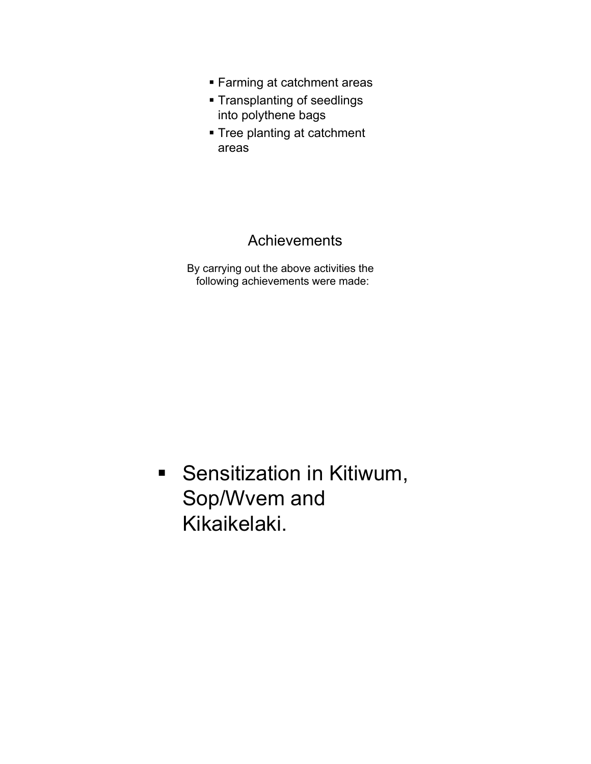- Farming at catchment areas
- Transplanting of seedlings into polythene bags
- **Tree planting at catchment** areas

## **Achievements**

By carrying out the above activities the following achievements were made:

**Sensitization in Kitiwum,** Sop/Wvem and Kikaikelaki.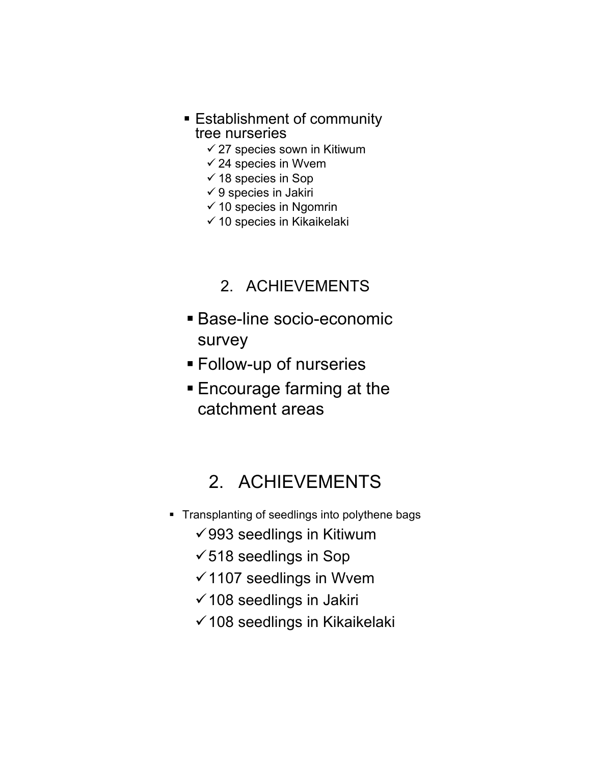- **Establishment of community** tree nurseries
	- $\checkmark$  27 species sown in Kitiwum
	- $\checkmark$  24 species in Wvem
	- $\checkmark$  18 species in Sop
	- $\checkmark$  9 species in Jakiri
	- $\checkmark$  10 species in Ngomrin
	- $\checkmark$  10 species in Kikaikelaki
		- 2. ACHIEVEMENTS
- Base-line socio-economic survey
- Follow-up of nurseries
- **Encourage farming at the** catchment areas

## 2. ACHIEVEMENTS

- **Transplanting of seedlings into polythene bags** 
	- $\sqrt{993}$  seedlings in Kitiwum
	- $\checkmark$  518 seedlings in Sop
	- $\checkmark$  1107 seedlings in Wvem
	- $\checkmark$  108 seedlings in Jakiri
	- $\checkmark$  108 seedlings in Kikaikelaki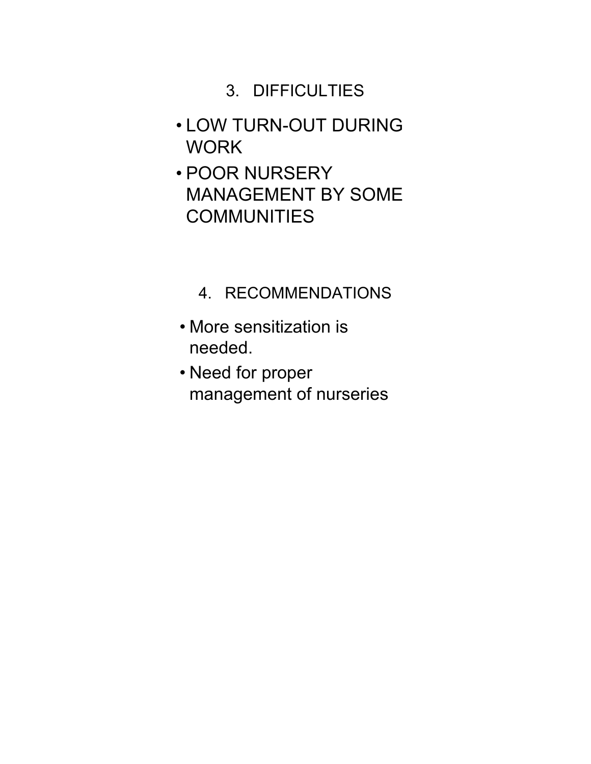## 3. DIFFICULTIES

- LOW TURN-OUT DURING WORK
- POOR NURSERY MANAGEMENT BY SOME **COMMUNITIES**

## 4. RECOMMENDATIONS

- More sensitization is needed.
- Need for proper management of nurseries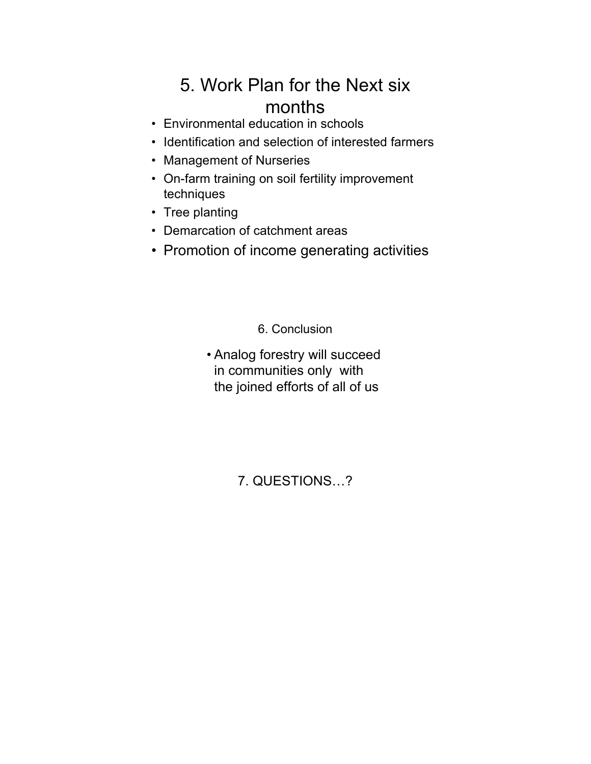## 5. Work Plan for the Next six months

- Environmental education in schools
- Identification and selection of interested farmers
- Management of Nurseries
- On-farm training on soil fertility improvement techniques
- Tree planting
- Demarcation of catchment areas
- Promotion of income generating activities

6. Conclusion

• Analog forestry will succeed in communities only with the joined efforts of all of us

7. QUESTIONS…?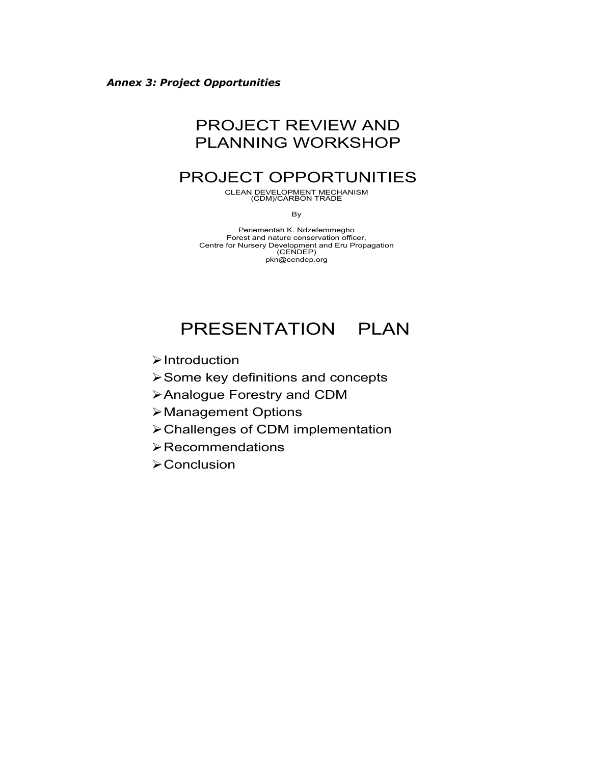## PROJECT REVIEW AND PLANNING WORKSHOP

## PROJECT OPPORTUNITIES

CLEAN DEVELOPMENT MECHANISM (CDM)/CARBON TRADE

By

Periementah K. Ndzefemmegho Forest and nature conservation officer, Centre for Nursery Development and Eru Propagation (CENDEP) pkn@cendep.org

## PRESENTATION PLAN

- ¾Introduction
- ¾Some key definitions and concepts
- ¾Analogue Forestry and CDM
- ¾Management Options
- ¾Challenges of CDM implementation
- $\triangleright$  Recommendations
- **≻Conclusion**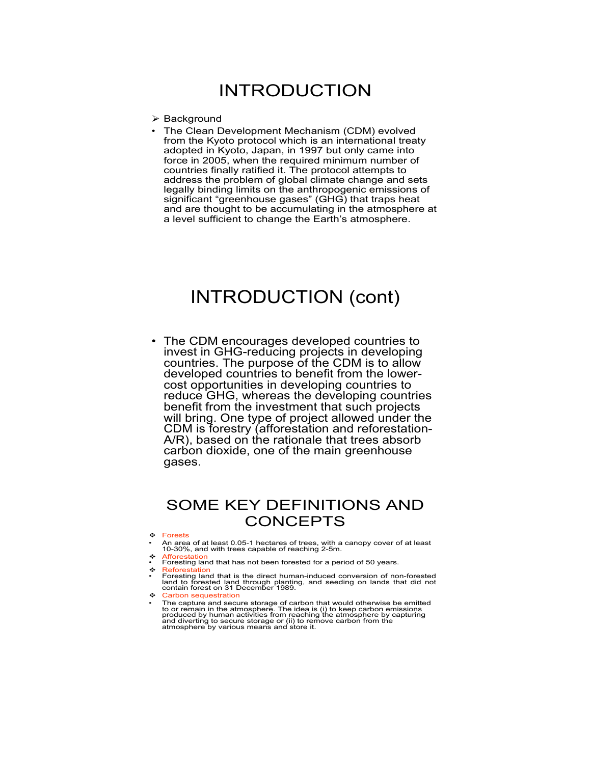## INTRODUCTION

- $\triangleright$  Background
- The Clean Development Mechanism (CDM) evolved from the Kyoto protocol which is an international treaty adopted in Kyoto, Japan, in 1997 but only came into force in 2005, when the required minimum number of countries finally ratified it. The protocol attempts to address the problem of global climate change and sets legally binding limits on the anthropogenic emissions of significant "greenhouse gases" (GHG) that traps heat and are thought to be accumulating in the atmosphere at a level sufficient to change the Earth's atmosphere.

## INTRODUCTION (cont)

• The CDM encourages developed countries to invest in GHG-reducing projects in developing countries. The purpose of the CDM is to allow developed countries to benefit from the lowercost opportunities in developing countries to reduce GHG, whereas the developing countries benefit from the investment that such projects will bring. One type of project allowed under the CDM is forestry (afforestation and reforestation-A/R), based on the rationale that trees absorb carbon dioxide, one of the main greenhouse gases.

### SOME KEY DEFINITIONS AND CONCEPTS

- Forests
- An area of at least 0.05-1 hectares of trees, with a canopy cover of at least 10-30%, and with trees capable of reaching 2-5m.
- Afforestation
- Foresting land that has not been forested for a period of 50 years.
- Reforestation<br>• Foresting land that is the direct human-induced conversion of non-forested land to forested land through planting, and seeding on lands that did not contain forest on 31 December 1989.
- Carbon sequestration
- The capture and secure storage of carbon that would otherwise be emitted<br>to or remain in the atmosphere. The idea is (i) to keep carbon emissions<br>produced by human activities from reaching the atmosphere by capturing<br>and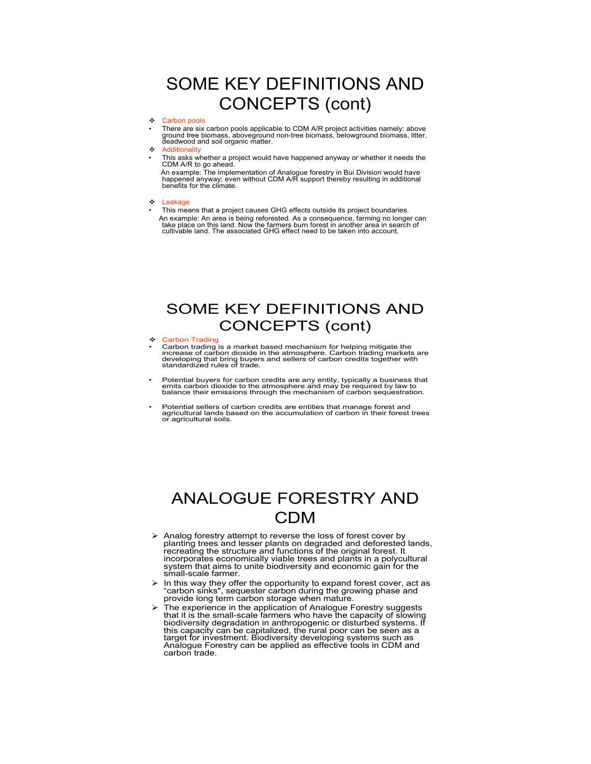## SOME KEY DEFINITIONS AND CONCEPTS (cont)

#### ❖ Carbon pools

• There are six carbon pools applicable to CDM A/R project activities namely: above ground tree biomass, aboveground non-tree biomass, belowground biomass, litter, deadwood and soil organic matter.

- **Additionality**
- This asks whether a project would have happened anyway or whether it needs the CDM A/R to go ahead.

An example: The implementation of Analogue forestry in Bui Division would have happened anyway; even without CDM A/R support thereby resulting in additional benefits for the climate.

- **\*** Leakage
- This means that a project causes GHG effects outside its project boundaries. An example: An area is being reforested. As a consequence, farming no longer can take place on this land. Now the farmers burn forest in another area in search of cultivable land. The associated GHG effect need to be taken into account.

## SOME KEY DEFINITIONS AND CONCEPTS (cont)

#### **← Carbon Trading**

- Carbon trading is a market based mechanism for helping mitigate the<br>increase of carbon dioxide in the atmosphere. Carbon trading markets are<br>developing that bring buyers and sellers of carbon credits together with<br>standa
- Potential buyers for carbon credits are any entity, typically a business that emits carbon dioxide to the atmosphere and may be required by law to balance their emissions through the mechanism of carbon sequestration.
- Potential sellers of carbon credits are entities that manage forest and agricultural lands based on the accumulation of carbon in their forest trees or agricultural soils.

## ANALOGUE FORESTRY AND CDM

- $\triangleright$  Analog forestry attempt to reverse the loss of forest cover by<br>planting trees and lesser plants on degraded and deforested lands,<br>recreating the structure and functions of the original forest. It<br>incorporates econo small-scale farmer.
- ¾ In this way they offer the opportunity to expand forest cover, act as "carbon sinks", sequester carbon during the growing phase and provide long term carbon storage when mature.
- ¾ The experience in the application of Analogue Forestry suggests that it is the small-scale farmers who have the capacity of slowing biodiversity degradation in anthropogenic or disturbed systems. If this capacity can be capitalized, the rural poor can be seen as a target for investment. Biodiversity developing systems such as Analogue Forestry can be applied as effective tools in CDM and carbon trade.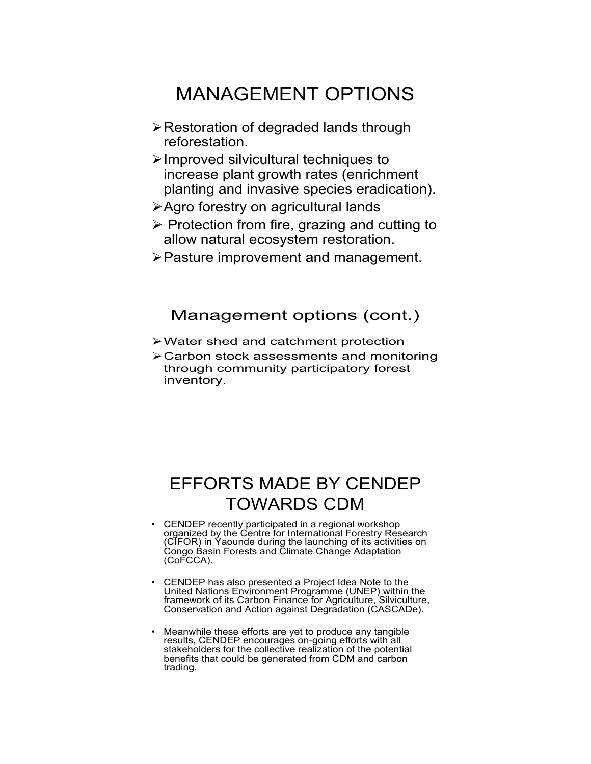## MANAGEMENT OPTIONS

- ¾Restoration of degraded lands through reforestation.
- ¾Improved silvicultural techniques to increase plant growth rates (enrichment planting and invasive species eradication).
- ¾Agro forestry on agricultural lands
- $\triangleright$  Protection from fire, grazing and cutting to allow natural ecosystem restoration.
- ¾Pasture improvement and management.

### Management options (cont.)

- ¾Water shed and catchment protection
- ¾Carbon stock assessments and monitoring through community participatory forest inventory.

## EFFORTS MADE BY CENDEP TOWARDS CDM

- CENDEP recently participated in a regional workshop organized by the Centre for International Forestry Research (CIFOR) in Yaounde during the launching of its activities on Congo Basin Forests and Climate Change Adaptation (CoFCCA).
- CENDEP has also presented a Project Idea Note to the United Nations Environment Programme (UNEP) within the framework of its Carbon Finance for Agriculture, Silviculture, Conservation and Action against Degradation (CASCADe).
- Meanwhile these efforts are yet to produce any tangible results, CENDEP encourages on-going efforts with all stakeholders for the collective realization of the potential benefits that could be generated from CDM and carbon trading.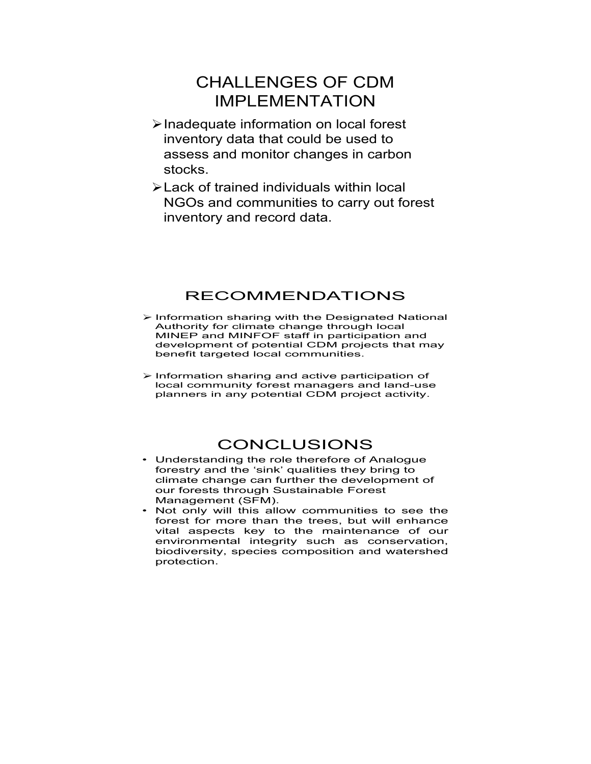## CHALLENGES OF CDM IMPLEMENTATION

- ¾Inadequate information on local forest inventory data that could be used to assess and monitor changes in carbon stocks.
- ¾Lack of trained individuals within local NGOs and communities to carry out forest inventory and record data.

### RECOMMENDATIONS

- ¾ Information sharing with the Designated National Authority for climate change through local MINEP and MINFOF staff in participation and development of potential CDM projects that may benefit targeted local communities.
- ¾ Information sharing and active participation of local community forest managers and land-use planners in any potential CDM project activity.

### CONCLUSIONS

- Understanding the role therefore of Analogue forestry and the 'sink' qualities they bring to climate change can further the development of our forests through Sustainable Forest Management (SFM).
- Not only will this allow communities to see the forest for more than the trees, but will enhance vital aspects key to the maintenance of our environmental integrity such as conservation, biodiversity, species composition and watershed protection.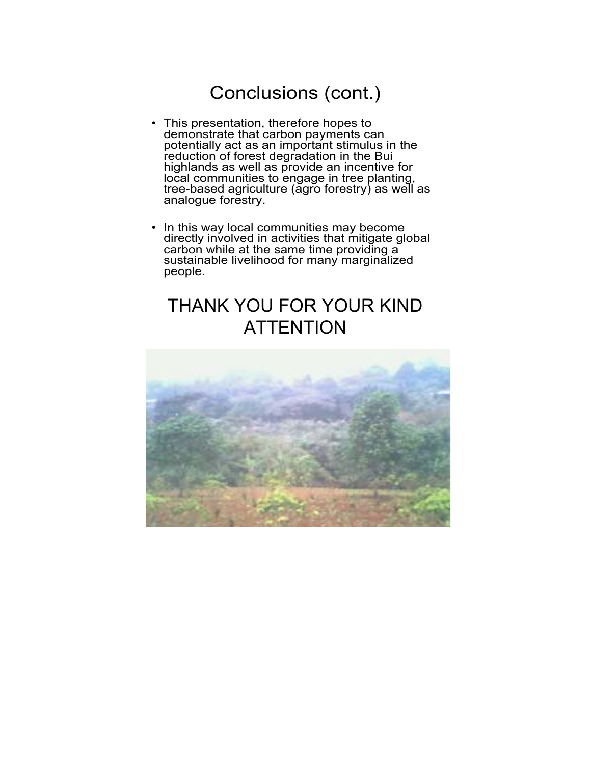## Conclusions (cont.)

- This presentation, therefore hopes to demonstrate that carbon payments can potentially act as an important stimulus in the reduction of forest degradation in the Bui highlands as well as provide an incentive for local communities to engage in tree planting, tree-based agriculture (agro forestry) as well as analogue forestry.
- In this way local communities may become directly involved in activities that mitigate global carbon while at the same time providing a sustainable livelihood for many marginalized people.

## THANK YOU FOR YOUR KIND **ATTENTION**

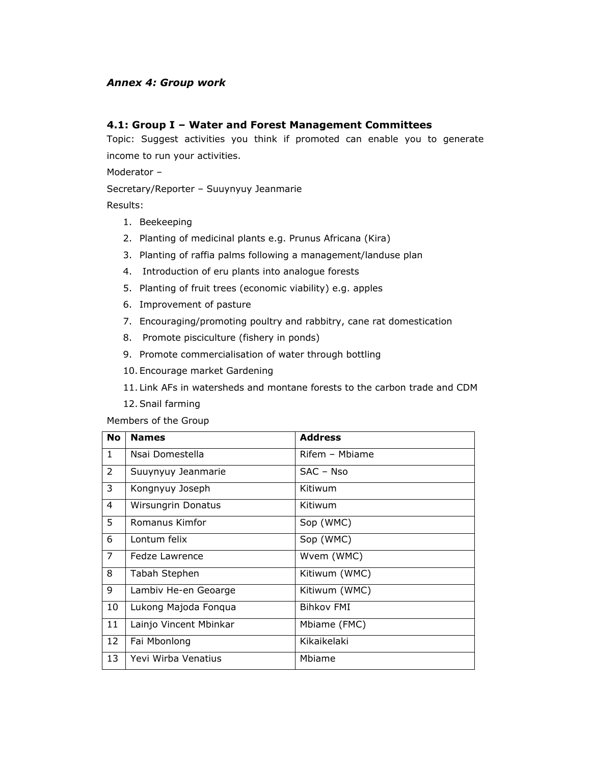### *Annex 4: Group work*

### **4.1: Group I – Water and Forest Management Committees**

Topic: Suggest activities you think if promoted can enable you to generate income to run your activities.

Moderator –

Secretary/Reporter – Suuynyuy Jeanmarie

Results:

- 1. Beekeeping
- 2. Planting of medicinal plants e.g. Prunus Africana (Kira)
- 3. Planting of raffia palms following a management/landuse plan
- 4. Introduction of eru plants into analogue forests
- 5. Planting of fruit trees (economic viability) e.g. apples
- 6. Improvement of pasture
- 7. Encouraging/promoting poultry and rabbitry, cane rat domestication
- 8. Promote pisciculture (fishery in ponds)
- 9. Promote commercialisation of water through bottling
- 10. Encourage market Gardening
- 11. Link AFs in watersheds and montane forests to the carbon trade and CDM
- 12.Snail farming

Members of the Group

| <b>No</b>      | <b>Names</b>              | <b>Address</b>    |
|----------------|---------------------------|-------------------|
| $\mathbf{1}$   | Nsai Domestella           | Rifem - Mbiame    |
| $\overline{2}$ | Suuynyuy Jeanmarie        | $SAC - Nso$       |
| 3              | Kongnyuy Joseph           | Kitiwum           |
| 4              | <b>Wirsungrin Donatus</b> | Kitiwum           |
| 5              | Romanus Kimfor            | Sop (WMC)         |
| 6              | Lontum felix              | Sop (WMC)         |
| $\overline{7}$ | Fedze Lawrence            | Wvem (WMC)        |
| 8              | Tabah Stephen             | Kitiwum (WMC)     |
| 9              | Lambiv He-en Geoarge      | Kitiwum (WMC)     |
| 10             | Lukong Majoda Fonqua      | <b>Bihkov FMI</b> |
| 11             | Lainjo Vincent Mbinkar    | Mbiame (FMC)      |
| 12             | Fai Mbonlong              | Kikaikelaki       |
| 13             | Yevi Wirba Venatius       | Mbiame            |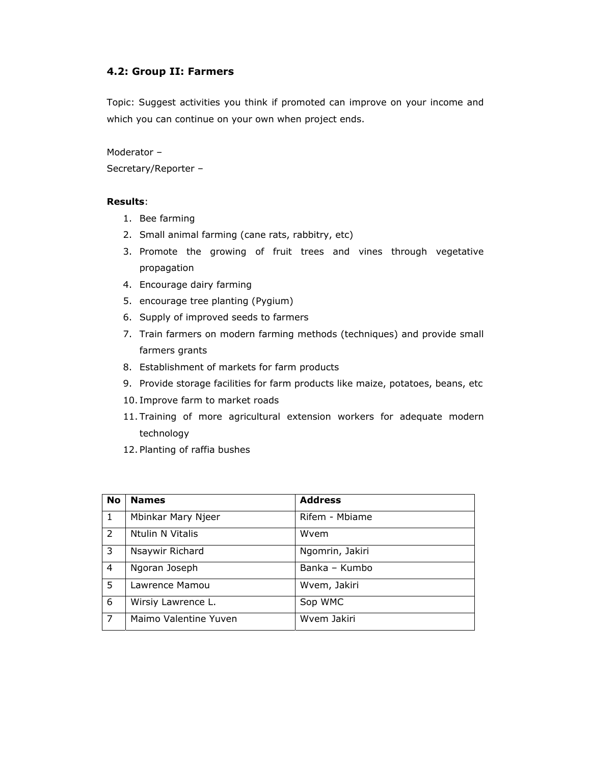### **4.2: Group II: Farmers**

Topic: Suggest activities you think if promoted can improve on your income and which you can continue on your own when project ends.

Moderator – Secretary/Reporter –

#### **Results**:

- 1. Bee farming
- 2. Small animal farming (cane rats, rabbitry, etc)
- 3. Promote the growing of fruit trees and vines through vegetative propagation
- 4. Encourage dairy farming
- 5. encourage tree planting (Pygium)
- 6. Supply of improved seeds to farmers
- 7. Train farmers on modern farming methods (techniques) and provide small farmers grants
- 8. Establishment of markets for farm products
- 9. Provide storage facilities for farm products like maize, potatoes, beans, etc
- 10. Improve farm to market roads
- 11. Training of more agricultural extension workers for adequate modern technology
- 12. Planting of raffia bushes

| <b>No</b> | <b>Names</b>          | <b>Address</b>  |
|-----------|-----------------------|-----------------|
| 1.        | Mbinkar Mary Njeer    | Rifem - Mbiame  |
| 2         | Ntulin N Vitalis      | Wvem            |
| 3         | Nsaywir Richard       | Ngomrin, Jakiri |
| 4         | Ngoran Joseph         | Banka - Kumbo   |
| 5.        | Lawrence Mamou        | Wvem, Jakiri    |
| 6         | Wirsiy Lawrence L.    | Sop WMC         |
| 7         | Maimo Valentine Yuven | Wvem Jakiri     |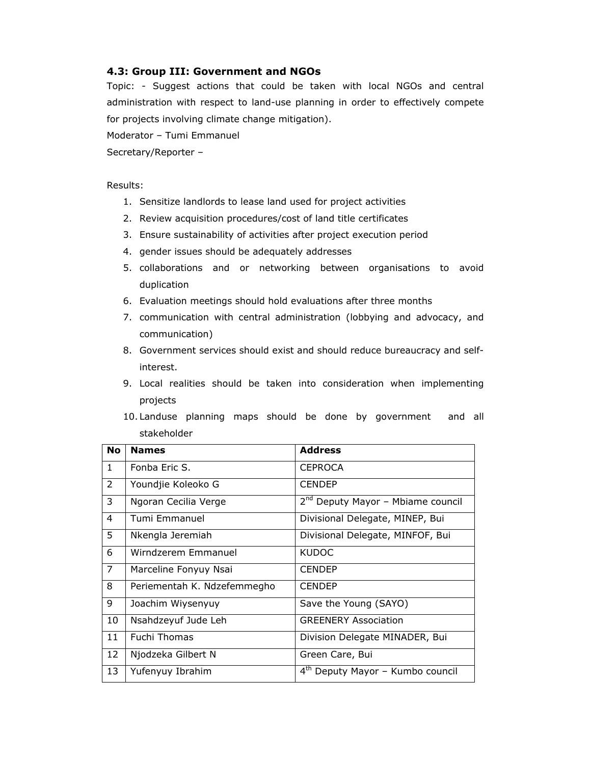### **4.3: Group III: Government and NGOs**

Topic: - Suggest actions that could be taken with local NGOs and central administration with respect to land-use planning in order to effectively compete for projects involving climate change mitigation).

Moderator – Tumi Emmanuel

Secretary/Reporter –

#### Results:

- 1. Sensitize landlords to lease land used for project activities
- 2. Review acquisition procedures/cost of land title certificates
- 3. Ensure sustainability of activities after project execution period
- 4. gender issues should be adequately addresses
- 5. collaborations and or networking between organisations to avoid duplication
- 6. Evaluation meetings should hold evaluations after three months
- 7. communication with central administration (lobbying and advocacy, and communication)
- 8. Government services should exist and should reduce bureaucracy and selfinterest.
- 9. Local realities should be taken into consideration when implementing projects
- 10. Landuse planning maps should be done by government and all stakeholder

| <b>No</b>      | <b>Names</b>                | <b>Address</b>                                |
|----------------|-----------------------------|-----------------------------------------------|
| $\mathbf{1}$   | Fonba Eric S.               | <b>CEPROCA</b>                                |
| $\overline{2}$ | Youndjie Koleoko G          | <b>CENDEP</b>                                 |
| 3              | Ngoran Cecilia Verge        | 2 <sup>nd</sup> Deputy Mayor - Mbiame council |
| 4              | Tumi Emmanuel               | Divisional Delegate, MINEP, Bui               |
| 5              | Nkengla Jeremiah            | Divisional Delegate, MINFOF, Bui              |
| 6              | Wirndzerem Emmanuel         | <b>KUDOC</b>                                  |
| $\overline{7}$ | Marceline Fonyuy Nsai       | <b>CENDEP</b>                                 |
| 8              | Periementah K. Ndzefemmegho | <b>CENDEP</b>                                 |
| 9              | Joachim Wiysenyuy           | Save the Young (SAYO)                         |
| 10             | Nsahdzeyuf Jude Leh         | <b>GREENERY Association</b>                   |
| 11             | <b>Fuchi Thomas</b>         | Division Delegate MINADER, Bui                |
| 12             | Njodzeka Gilbert N          | Green Care, Bui                               |
| 13             | Yufenyuy Ibrahim            | 4 <sup>th</sup> Deputy Mayor - Kumbo council  |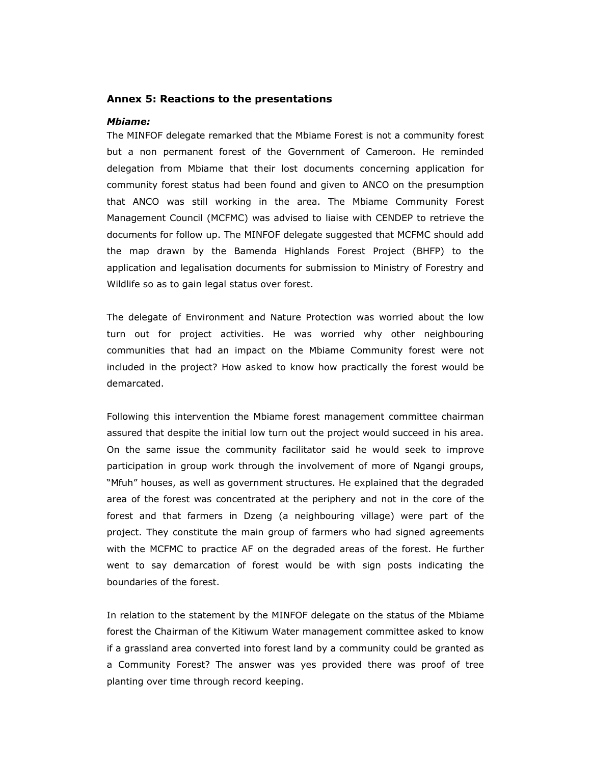#### **Annex 5: Reactions to the presentations**

#### *Mbiame:*

The MINFOF delegate remarked that the Mbiame Forest is not a community forest but a non permanent forest of the Government of Cameroon. He reminded delegation from Mbiame that their lost documents concerning application for community forest status had been found and given to ANCO on the presumption that ANCO was still working in the area. The Mbiame Community Forest Management Council (MCFMC) was advised to liaise with CENDEP to retrieve the documents for follow up. The MINFOF delegate suggested that MCFMC should add the map drawn by the Bamenda Highlands Forest Project (BHFP) to the application and legalisation documents for submission to Ministry of Forestry and Wildlife so as to gain legal status over forest.

The delegate of Environment and Nature Protection was worried about the low turn out for project activities. He was worried why other neighbouring communities that had an impact on the Mbiame Community forest were not included in the project? How asked to know how practically the forest would be demarcated.

Following this intervention the Mbiame forest management committee chairman assured that despite the initial low turn out the project would succeed in his area. On the same issue the community facilitator said he would seek to improve participation in group work through the involvement of more of Ngangi groups, "Mfuh" houses, as well as government structures. He explained that the degraded area of the forest was concentrated at the periphery and not in the core of the forest and that farmers in Dzeng (a neighbouring village) were part of the project. They constitute the main group of farmers who had signed agreements with the MCFMC to practice AF on the degraded areas of the forest. He further went to say demarcation of forest would be with sign posts indicating the boundaries of the forest.

In relation to the statement by the MINFOF delegate on the status of the Mbiame forest the Chairman of the Kitiwum Water management committee asked to know if a grassland area converted into forest land by a community could be granted as a Community Forest? The answer was yes provided there was proof of tree planting over time through record keeping.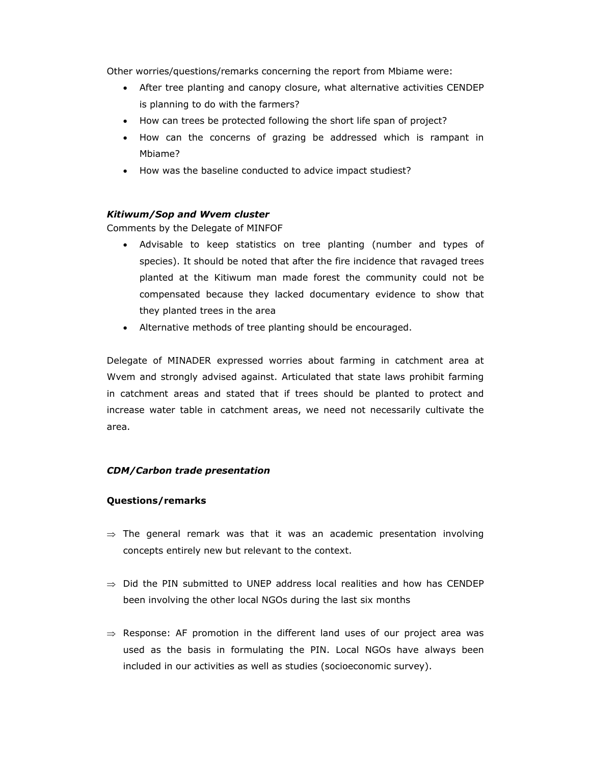Other worries/questions/remarks concerning the report from Mbiame were:

- After tree planting and canopy closure, what alternative activities CENDEP is planning to do with the farmers?
- How can trees be protected following the short life span of project?
- How can the concerns of grazing be addressed which is rampant in Mbiame?
- How was the baseline conducted to advice impact studiest?

### *Kitiwum/Sop and Wvem cluster*

Comments by the Delegate of MINFOF

- Advisable to keep statistics on tree planting (number and types of species). It should be noted that after the fire incidence that ravaged trees planted at the Kitiwum man made forest the community could not be compensated because they lacked documentary evidence to show that they planted trees in the area
- Alternative methods of tree planting should be encouraged.

Delegate of MINADER expressed worries about farming in catchment area at Wvem and strongly advised against. Articulated that state laws prohibit farming in catchment areas and stated that if trees should be planted to protect and increase water table in catchment areas, we need not necessarily cultivate the area.

#### *CDM/Carbon trade presentation*

#### **Questions/remarks**

- $\Rightarrow$  The general remark was that it was an academic presentation involving concepts entirely new but relevant to the context.
- $\Rightarrow$  Did the PIN submitted to UNEP address local realities and how has CENDEP been involving the other local NGOs during the last six months
- $\Rightarrow$  Response: AF promotion in the different land uses of our project area was used as the basis in formulating the PIN. Local NGOs have always been included in our activities as well as studies (socioeconomic survey).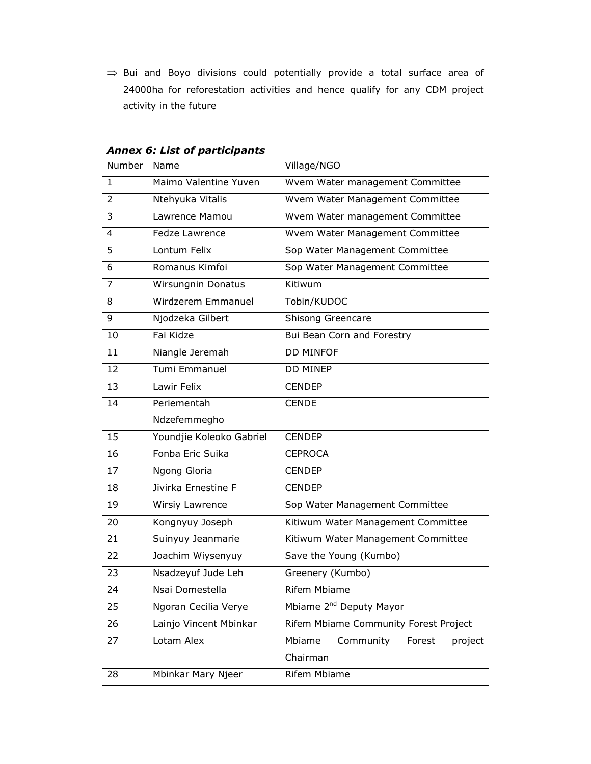⇒ Bui and Boyo divisions could potentially provide a total surface area of 24000ha for reforestation activities and hence qualify for any CDM project activity in the future

| Number         | Name                      | Village/NGO                                          |
|----------------|---------------------------|------------------------------------------------------|
| $\mathbf{1}$   | Maimo Valentine Yuven     | Wvem Water management Committee                      |
| $\overline{2}$ | Ntehyuka Vitalis          | Wvem Water Management Committee                      |
| 3              | Lawrence Mamou            | Wvem Water management Committee                      |
| $\overline{4}$ | Fedze Lawrence            | Wvem Water Management Committee                      |
| 5              | Lontum Felix              | Sop Water Management Committee                       |
| 6              | Romanus Kimfoi            | Sop Water Management Committee                       |
| $\overline{7}$ | <b>Wirsungnin Donatus</b> | Kitiwum                                              |
| 8              | Wirdzerem Emmanuel        | Tobin/KUDOC                                          |
| 9              | Njodzeka Gilbert          | Shisong Greencare                                    |
| 10             | Fai Kidze                 | Bui Bean Corn and Forestry                           |
| 11             | Niangle Jeremah           | <b>DD MINFOF</b>                                     |
| 12             | Tumi Emmanuel             | <b>DD MINEP</b>                                      |
| 13             | Lawir Felix               | <b>CENDEP</b>                                        |
| 14             | Periementah               | <b>CENDE</b>                                         |
|                | Ndzefemmegho              |                                                      |
| 15             | Youndjie Koleoko Gabriel  | <b>CENDEP</b>                                        |
| 16             | Fonba Eric Suika          | <b>CEPROCA</b>                                       |
| 17             | Ngong Gloria              | <b>CENDEP</b>                                        |
| 18             | Jivirka Ernestine F       | <b>CENDEP</b>                                        |
| 19             | Wirsiy Lawrence           | Sop Water Management Committee                       |
| 20             | Kongnyuy Joseph           | Kitiwum Water Management Committee                   |
| 21             | Suinyuy Jeanmarie         | Kitiwum Water Management Committee                   |
| 22             | Joachim Wiysenyuy         | Save the Young (Kumbo)                               |
| 23             | Nsadzeyuf Jude Leh        | Greenery (Kumbo)                                     |
| 24             | Nsai Domestella           | <b>Rifem Mbiame</b>                                  |
| 25             | Ngoran Cecilia Verye      | Mbiame 2 <sup>nd</sup> Deputy Mayor                  |
| 26             | Lainjo Vincent Mbinkar    | Rifem Mbiame Community Forest Project                |
| 27             | Lotam Alex                | Mbiame<br>Community<br>Forest<br>project<br>Chairman |
| 28             | Mbinkar Mary Njeer        | <b>Rifem Mbiame</b>                                  |

### *Annex 6: List of participants*